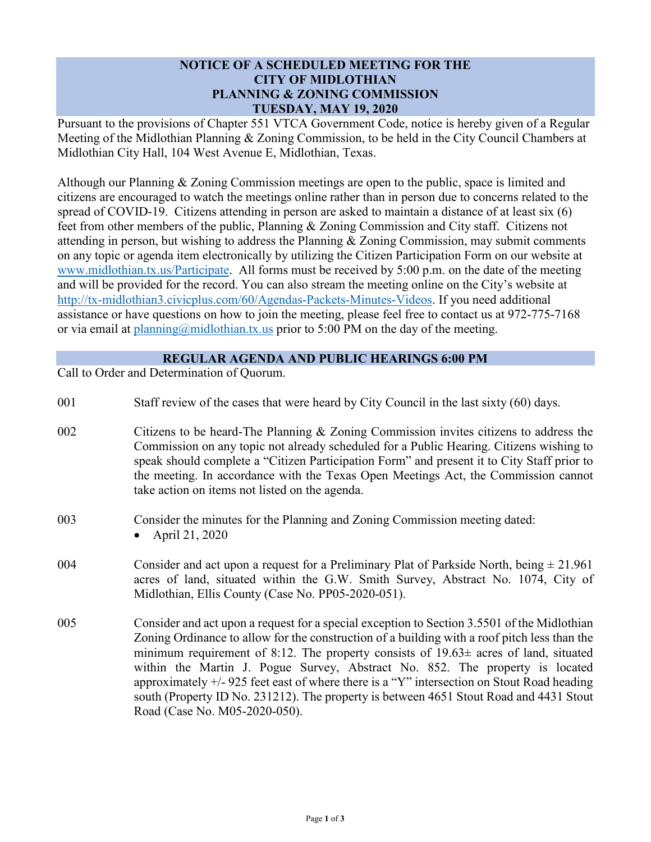## **NOTICE OF A SCHEDULED MEETING FOR THE CITY OF MIDLOTHIAN PLANNING & ZONING COMMISSION TUESDAY, MAY 19, 2020**

Pursuant to the provisions of Chapter 551 VTCA Government Code, notice is hereby given of a Regular Meeting of the Midlothian Planning & Zoning Commission, to be held in the City Council Chambers at Midlothian City Hall, 104 West Avenue E, Midlothian, Texas.

Although our Planning & Zoning Commission meetings are open to the public, space is limited and citizens are encouraged to watch the meetings online rather than in person due to concerns related to the spread of COVID-19. Citizens attending in person are asked to maintain a distance of at least six (6) feet from other members of the public, Planning & Zoning Commission and City staff. Citizens not attending in person, but wishing to address the Planning & Zoning Commission, may submit comments on any topic or agenda item electronically by utilizing the Citizen Participation Form on our website at [www.midlothian.tx.us/Participate.](http://www.midlothian.tx.us/Participate) All forms must be received by 5:00 p.m. on the date of the meeting and will be provided for the record. You can also stream the meeting online on the City's website at [http://tx-midlothian3.civicplus.com/60/Agendas-Packets-Minutes-Videos.](http://tx-midlothian3.civicplus.com/60/Agendas-Packets-Minutes-Videos) If you need additional assistance or have questions on how to join the meeting, please feel free to contact us at 972-775-7168 or via email at  $planning@midlothian.tx.us\ prior\ to\ 5:00\ PM\ on\ the\ day\ of\ the\ meeting.$ 

## **REGULAR AGENDA AND PUBLIC HEARINGS 6:00 PM**

Call to Order and Determination of Quorum.

| 001 | Staff review of the cases that were heard by City Council in the last sixty (60) days.     |
|-----|--------------------------------------------------------------------------------------------|
| 002 | Citizens to be heard-The Planning & Zoning Commission invites citizens to address the      |
|     | Commission on any topic not already scheduled for a Public Hearing. Citizens wishing to    |
|     | speak should complete a "Citizen Participation Form" and present it to City Staff prior to |
|     | the meeting. In accordance with the Texas Open Meetings Act, the Commission cannot         |

003 Consider the minutes for the Planning and Zoning Commission meeting dated:

take action on items not listed on the agenda.

- 004 Consider and act upon a request for a Preliminary Plat of Parkside North, being  $\pm 21.961$ acres of land, situated within the G.W. Smith Survey, Abstract No. 1074, City of Midlothian, Ellis County (Case No. PP05-2020-051).
- 005 Consider and act upon a request for a special exception to Section 3.5501 of the Midlothian Zoning Ordinance to allow for the construction of a building with a roof pitch less than the minimum requirement of 8:12. The property consists of  $19.63\pm$  acres of land, situated within the Martin J. Pogue Survey, Abstract No. 852. The property is located approximately +/- 925 feet east of where there is a "Y" intersection on Stout Road heading south (Property ID No. 231212). The property is between 4651 Stout Road and 4431 Stout Road (Case No. M05-2020-050).

<sup>•</sup> April 21, 2020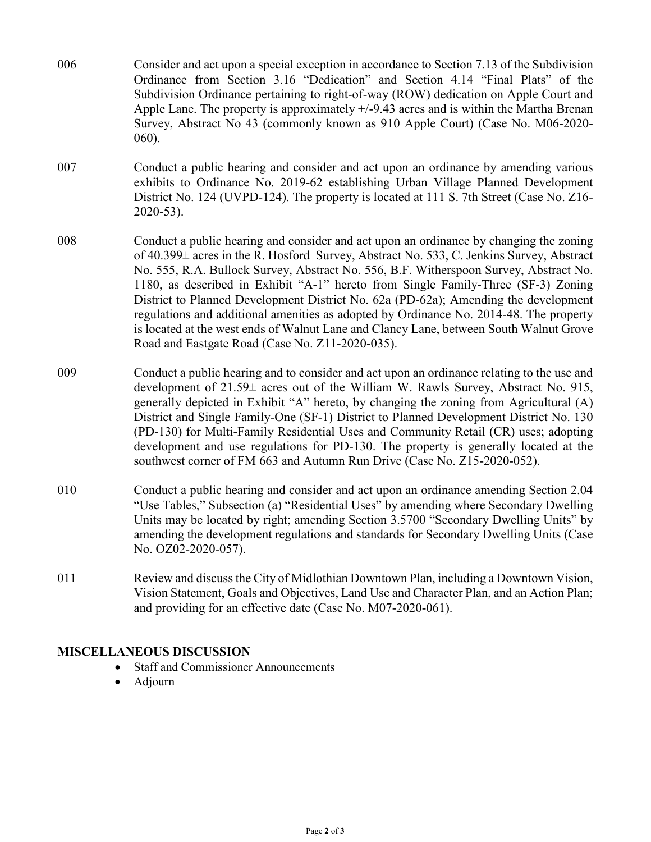- 006 Consider and act upon a special exception in accordance to Section 7.13 of the Subdivision Ordinance from Section 3.16 "Dedication" and Section 4.14 "Final Plats" of the Subdivision Ordinance pertaining to right-of-way (ROW) dedication on Apple Court and Apple Lane. The property is approximately +/-9.43 acres and is within the Martha Brenan Survey, Abstract No 43 (commonly known as 910 Apple Court) (Case No. M06-2020- 060).
- 007 Conduct a public hearing and consider and act upon an ordinance by amending various exhibits to Ordinance No. 2019-62 establishing Urban Village Planned Development District No. 124 (UVPD-124). The property is located at 111 S. 7th Street (Case No. Z16- 2020-53).
- 008 Conduct a public hearing and consider and act upon an ordinance by changing the zoning of 40.399± acres in the R. Hosford Survey, Abstract No. 533, C. Jenkins Survey, Abstract No. 555, R.A. Bullock Survey, Abstract No. 556, B.F. Witherspoon Survey, Abstract No. 1180, as described in Exhibit "A-1" hereto from Single Family-Three (SF-3) Zoning District to Planned Development District No. 62a (PD-62a); Amending the development regulations and additional amenities as adopted by Ordinance No. 2014-48. The property is located at the west ends of Walnut Lane and Clancy Lane, between South Walnut Grove Road and Eastgate Road (Case No. Z11-2020-035).
- 009 Conduct a public hearing and to consider and act upon an ordinance relating to the use and development of 21.59± acres out of the William W. Rawls Survey, Abstract No. 915, generally depicted in Exhibit "A" hereto, by changing the zoning from Agricultural (A) District and Single Family-One (SF-1) District to Planned Development District No. 130 (PD-130) for Multi-Family Residential Uses and Community Retail (CR) uses; adopting development and use regulations for PD-130. The property is generally located at the southwest corner of FM 663 and Autumn Run Drive (Case No. Z15-2020-052).
- 010 Conduct a public hearing and consider and act upon an ordinance amending Section 2.04 "Use Tables," Subsection (a) "Residential Uses" by amending where Secondary Dwelling Units may be located by right; amending Section 3.5700 "Secondary Dwelling Units" by amending the development regulations and standards for Secondary Dwelling Units (Case No. OZ02-2020-057).
- 011 Review and discuss the City of Midlothian Downtown Plan, including a Downtown Vision, Vision Statement, Goals and Objectives, Land Use and Character Plan, and an Action Plan; and providing for an effective date (Case No. M07-2020-061).

## **MISCELLANEOUS DISCUSSION**

- Staff and Commissioner Announcements
- Adjourn